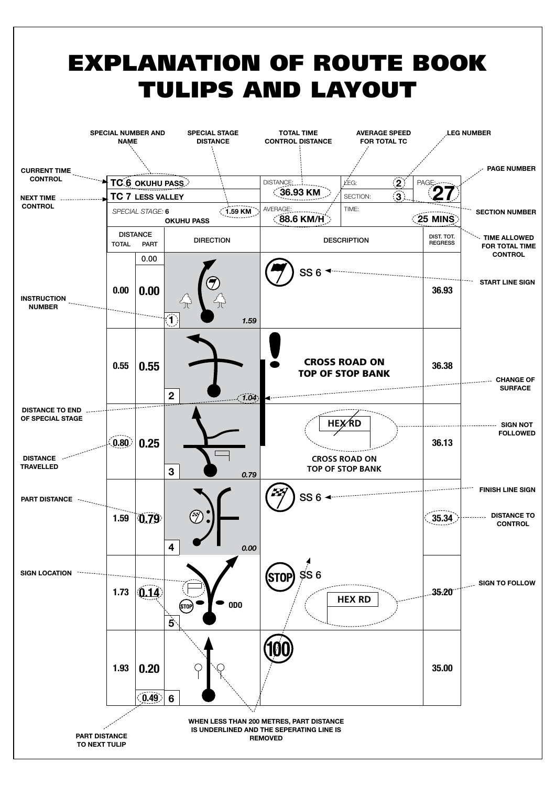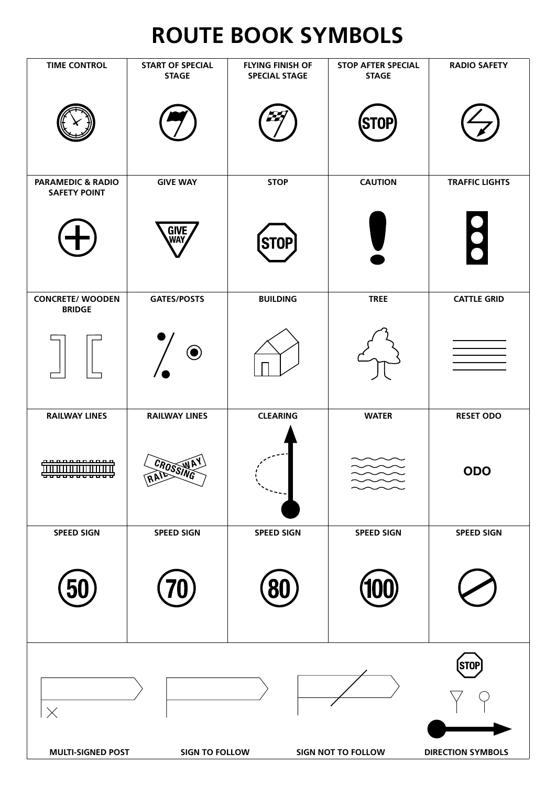## **ROute BOOK SYMBOLS**

| <b>TIME CONTROL</b>                                                                                                                   | <b>START OF SPECIAL</b><br><b>STAGE</b> | <b>FLYING FINISH OF</b><br><b>SPECIAL STAGE</b> | <b>STOP AFTER SPECIAL</b><br><b>STAGE</b> | <b>RADIO SAFETY</b>   |  |  |  |  |
|---------------------------------------------------------------------------------------------------------------------------------------|-----------------------------------------|-------------------------------------------------|-------------------------------------------|-----------------------|--|--|--|--|
|                                                                                                                                       |                                         | STOP                                            |                                           |                       |  |  |  |  |
| <b>PARAMEDIC &amp; RADIO</b><br><b>SAFETY POINT</b>                                                                                   | <b>GIVE WAY</b>                         | <b>STOP</b>                                     | <b>CAUTION</b>                            | <b>TRAFFIC LIGHTS</b> |  |  |  |  |
|                                                                                                                                       | <b>GIVE<br/>WAY</b>                     | <b>STOP</b>                                     |                                           | $\bullet$             |  |  |  |  |
| <b>CONCRETE/ WOODEN</b><br><b>BRIDGE</b>                                                                                              | <b>GATES/POSTS</b>                      | <b>BUILDING</b>                                 | <b>TREE</b>                               | <b>CATTLE GRID</b>    |  |  |  |  |
|                                                                                                                                       | $\textcolor{blue}{\bullet}$             |                                                 |                                           |                       |  |  |  |  |
| <b>RAILWAY LINES</b>                                                                                                                  | <b>RAILWAY LINES</b>                    | <b>CLEARING</b>                                 | <b>WATER</b>                              | <b>RESET ODO</b>      |  |  |  |  |
| <del>announana</del><br><del>,,,,,,,,,,,,,</del>                                                                                      | CROSSING                                |                                                 | $\sim$                                    | <b>ODO</b>            |  |  |  |  |
| <b>SPEED SIGN</b>                                                                                                                     | <b>SPEED SIGN</b>                       | <b>SPEED SIGN</b>                               | <b>SPEED SIGN</b>                         | <b>SPEED SIGN</b>     |  |  |  |  |
|                                                                                                                                       |                                         |                                                 |                                           |                       |  |  |  |  |
| <b>STOP</b><br>$\times$<br><b>MULTI-SIGNED POST</b><br><b>SIGN TO FOLLOW</b><br><b>SIGN NOT TO FOLLOW</b><br><b>DIRECTION SYMBOLS</b> |                                         |                                                 |                                           |                       |  |  |  |  |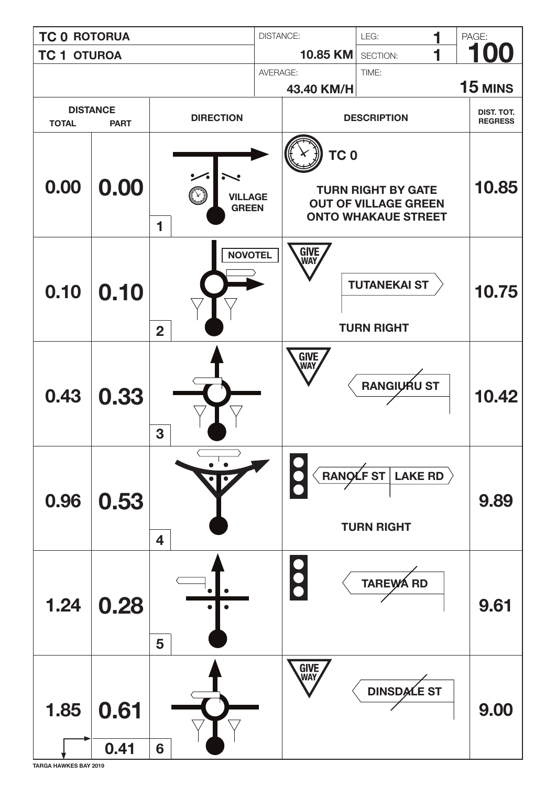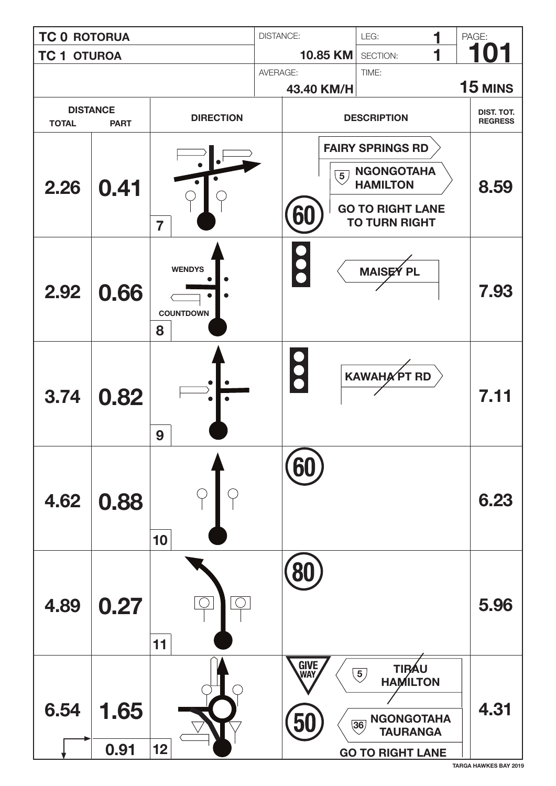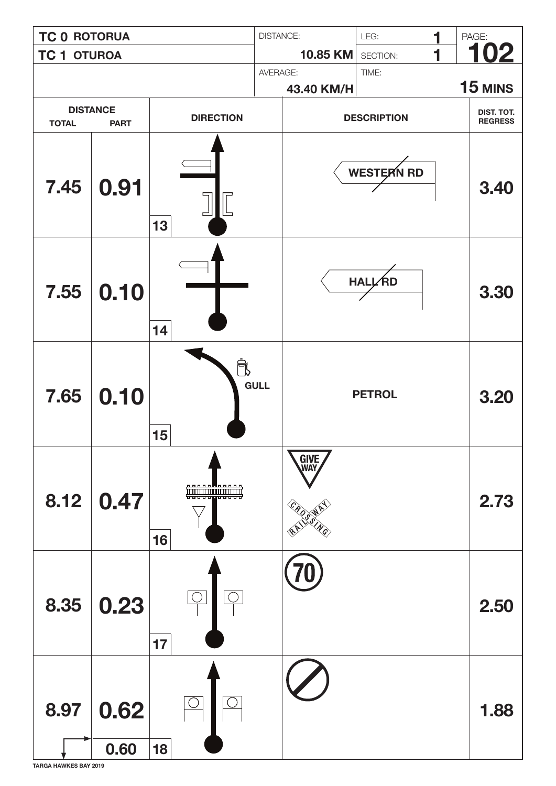![](_page_4_Figure_0.jpeg)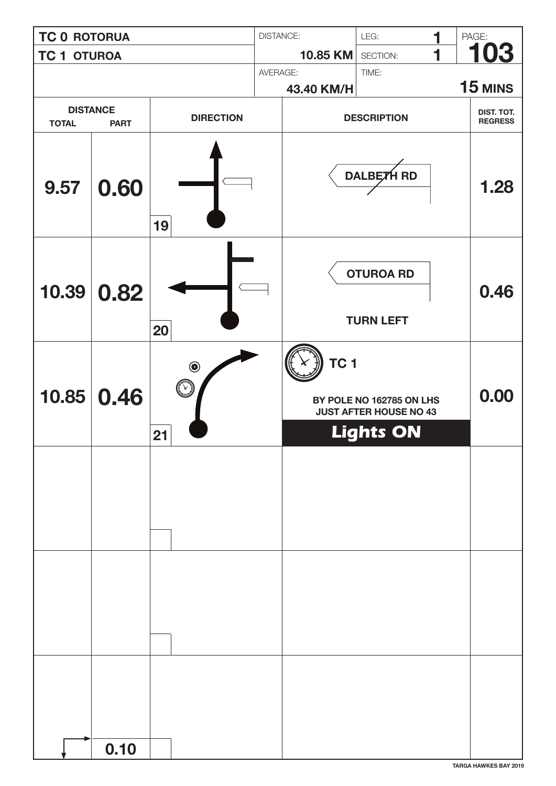| <b>TC 0 ROTORUA</b>                            |              | <b>DISTANCE:</b>                                        |            | LEG:               | 1                                                                             | PAGE:      |                              |
|------------------------------------------------|--------------|---------------------------------------------------------|------------|--------------------|-------------------------------------------------------------------------------|------------|------------------------------|
| <b>TC 1 OTUROA</b>                             |              | 10.85 KM                                                |            | SECTION:           | 1                                                                             | <u>103</u> |                              |
|                                                |              |                                                         |            | TIME:<br>AVERAGE:  |                                                                               |            | 15 MINS                      |
|                                                |              |                                                         | 43.40 KM/H |                    |                                                                               |            |                              |
| <b>DISTANCE</b><br><b>TOTAL</b><br><b>PART</b> |              | <b>DIRECTION</b>                                        |            | <b>DESCRIPTION</b> |                                                                               |            | DIST. TOT.<br><b>REGRESS</b> |
| 9.57                                           | 0.60         | 19                                                      |            |                    | DALBETH RD                                                                    |            | 1.28                         |
| 10.39                                          | 0.82         | 20                                                      |            |                    | <b>OTUROA RD</b><br><b>TURN LEFT</b>                                          |            | 0.46                         |
|                                                | 10.85   0.46 | $\textcircled{\small{\textbullet}}$<br>$\bigcirc$<br>21 |            | TC 1               | BY POLE NO 162785 ON LHS<br><b>JUST AFTER HOUSE NO 43</b><br><b>Lights ON</b> |            | 0.00                         |
|                                                |              |                                                         |            |                    |                                                                               |            |                              |
|                                                |              |                                                         |            |                    |                                                                               |            |                              |
|                                                | 0.10         |                                                         |            |                    |                                                                               |            |                              |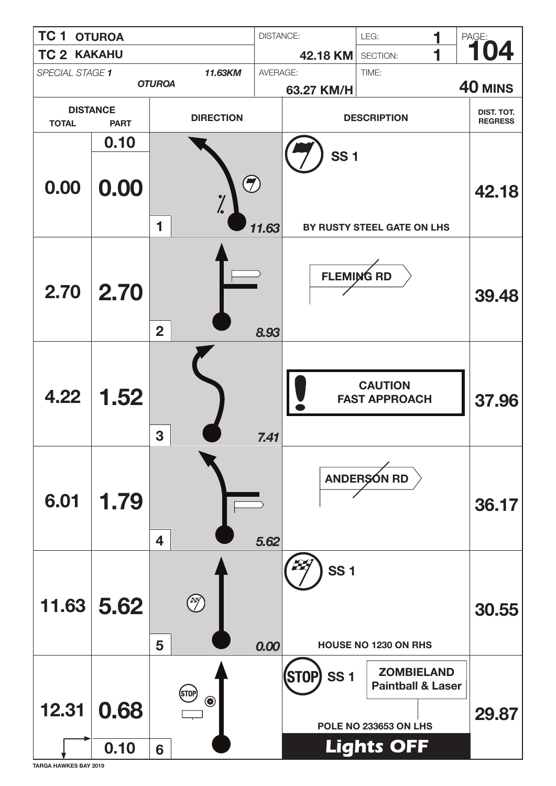![](_page_6_Figure_0.jpeg)

**TARGA HAWKES BAY 2019**